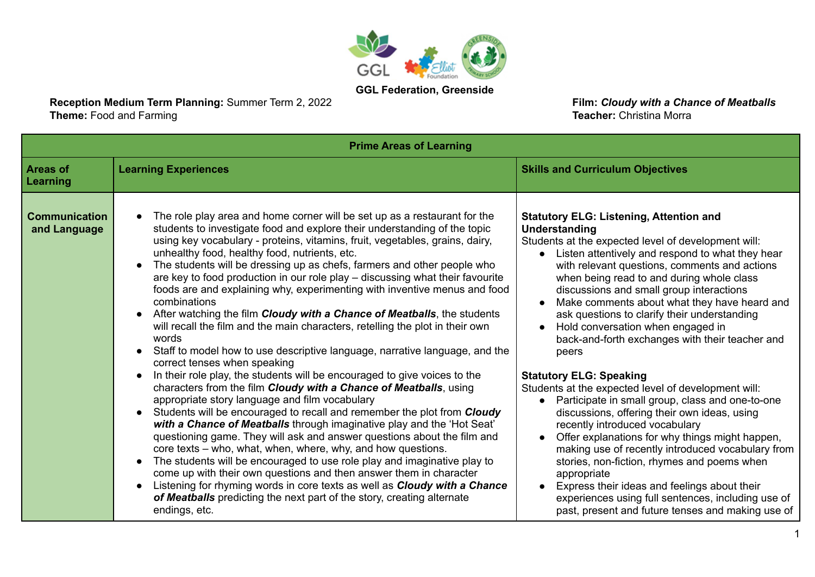

**GGL Federation, Greenside**

**Reception Medium Term Planning:** Summer Term 2, 2022 **Film: Cloudy with a Chance of Meatballs**<br> **Theme:** Food and Farming **Film:** Christina Morra **Theme:** Food and Farming

| <b>Prime Areas of Learning</b>       |                                                                                                                                                                                                                                                                                                                                                                                                                                                                                                                                                                                                                                                                                                                                                                                                                                                                                                                                                                                                                                                                                                                                                                                                                                                                                                                                                                                                                                                                                                                                                                                                                                                                                        |                                                                                                                                                                                                                                                                                                                                                                                                                                                                                                                                                                                                                                                                                                                                                                                                                                                                                                                                                                                                                                                                                                                   |
|--------------------------------------|----------------------------------------------------------------------------------------------------------------------------------------------------------------------------------------------------------------------------------------------------------------------------------------------------------------------------------------------------------------------------------------------------------------------------------------------------------------------------------------------------------------------------------------------------------------------------------------------------------------------------------------------------------------------------------------------------------------------------------------------------------------------------------------------------------------------------------------------------------------------------------------------------------------------------------------------------------------------------------------------------------------------------------------------------------------------------------------------------------------------------------------------------------------------------------------------------------------------------------------------------------------------------------------------------------------------------------------------------------------------------------------------------------------------------------------------------------------------------------------------------------------------------------------------------------------------------------------------------------------------------------------------------------------------------------------|-------------------------------------------------------------------------------------------------------------------------------------------------------------------------------------------------------------------------------------------------------------------------------------------------------------------------------------------------------------------------------------------------------------------------------------------------------------------------------------------------------------------------------------------------------------------------------------------------------------------------------------------------------------------------------------------------------------------------------------------------------------------------------------------------------------------------------------------------------------------------------------------------------------------------------------------------------------------------------------------------------------------------------------------------------------------------------------------------------------------|
| <b>Areas of</b><br>Learning          | <b>Learning Experiences</b>                                                                                                                                                                                                                                                                                                                                                                                                                                                                                                                                                                                                                                                                                                                                                                                                                                                                                                                                                                                                                                                                                                                                                                                                                                                                                                                                                                                                                                                                                                                                                                                                                                                            | <b>Skills and Curriculum Objectives</b>                                                                                                                                                                                                                                                                                                                                                                                                                                                                                                                                                                                                                                                                                                                                                                                                                                                                                                                                                                                                                                                                           |
| <b>Communication</b><br>and Language | The role play area and home corner will be set up as a restaurant for the<br>students to investigate food and explore their understanding of the topic<br>using key vocabulary - proteins, vitamins, fruit, vegetables, grains, dairy,<br>unhealthy food, healthy food, nutrients, etc.<br>The students will be dressing up as chefs, farmers and other people who<br>are key to food production in our role play - discussing what their favourite<br>foods are and explaining why, experimenting with inventive menus and food<br>combinations<br>After watching the film Cloudy with a Chance of Meatballs, the students<br>will recall the film and the main characters, retelling the plot in their own<br>words<br>Staff to model how to use descriptive language, narrative language, and the<br>correct tenses when speaking<br>In their role play, the students will be encouraged to give voices to the<br>characters from the film Cloudy with a Chance of Meatballs, using<br>appropriate story language and film vocabulary<br>Students will be encouraged to recall and remember the plot from Cloudy<br>with a Chance of Meatballs through imaginative play and the 'Hot Seat'<br>questioning game. They will ask and answer questions about the film and<br>core texts – who, what, when, where, why, and how questions.<br>The students will be encouraged to use role play and imaginative play to<br>$\bullet$<br>come up with their own questions and then answer them in character<br>Listening for rhyming words in core texts as well as <b>Cloudy with a Chance</b><br>of Meatballs predicting the next part of the story, creating alternate<br>endings, etc. | <b>Statutory ELG: Listening, Attention and</b><br>Understanding<br>Students at the expected level of development will:<br>Listen attentively and respond to what they hear<br>$\bullet$<br>with relevant questions, comments and actions<br>when being read to and during whole class<br>discussions and small group interactions<br>Make comments about what they have heard and<br>ask questions to clarify their understanding<br>Hold conversation when engaged in<br>$\bullet$<br>back-and-forth exchanges with their teacher and<br>peers<br><b>Statutory ELG: Speaking</b><br>Students at the expected level of development will:<br>• Participate in small group, class and one-to-one<br>discussions, offering their own ideas, using<br>recently introduced vocabulary<br>Offer explanations for why things might happen,<br>making use of recently introduced vocabulary from<br>stories, non-fiction, rhymes and poems when<br>appropriate<br>Express their ideas and feelings about their<br>experiences using full sentences, including use of<br>past, present and future tenses and making use of |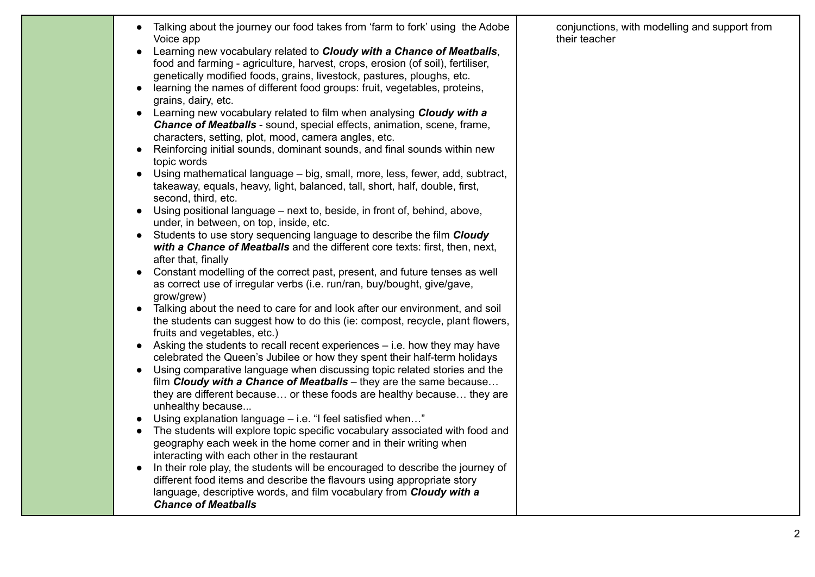| Talking about the journey our food takes from 'farm to fork' using the Adobe<br>Voice app<br>Learning new vocabulary related to Cloudy with a Chance of Meatballs,<br>food and farming - agriculture, harvest, crops, erosion (of soil), fertiliser,<br>genetically modified foods, grains, livestock, pastures, ploughs, etc.<br>learning the names of different food groups: fruit, vegetables, proteins,<br>grains, dairy, etc.<br>Learning new vocabulary related to film when analysing Cloudy with a<br><b>Chance of Meatballs</b> - sound, special effects, animation, scene, frame,<br>characters, setting, plot, mood, camera angles, etc.<br>Reinforcing initial sounds, dominant sounds, and final sounds within new<br>topic words<br>Using mathematical language – big, small, more, less, fewer, add, subtract,<br>$\bullet$<br>takeaway, equals, heavy, light, balanced, tall, short, half, double, first,<br>second, third, etc.<br>Using positional language – next to, beside, in front of, behind, above,<br>under, in between, on top, inside, etc.<br>Students to use story sequencing language to describe the film Cloudy<br>$\bullet$<br>with a Chance of Meatballs and the different core texts: first, then, next,<br>after that, finally<br>Constant modelling of the correct past, present, and future tenses as well<br>as correct use of irregular verbs (i.e. run/ran, buy/bought, give/gave,<br>grow/grew)<br>Talking about the need to care for and look after our environment, and soil<br>$\bullet$<br>the students can suggest how to do this (ie: compost, recycle, plant flowers,<br>fruits and vegetables, etc.)<br>Asking the students to recall recent experiences – i.e. how they may have<br>$\bullet$<br>celebrated the Queen's Jubilee or how they spent their half-term holidays<br>Using comparative language when discussing topic related stories and the<br>film Cloudy with a Chance of Meatballs - they are the same because<br>they are different because or these foods are healthy because they are<br>unhealthy because<br>Using explanation language – i.e. "I feel satisfied when"<br>$\bullet$<br>The students will explore topic specific vocabulary associated with food and<br>geography each week in the home corner and in their writing when<br>interacting with each other in the restaurant<br>In their role play, the students will be encouraged to describe the journey of<br>different food items and describe the flavours using appropriate story<br>language, descriptive words, and film vocabulary from Cloudy with a<br><b>Chance of Meatballs</b> | conjunctions, with modelling and support from<br>their teacher |
|---------------------------------------------------------------------------------------------------------------------------------------------------------------------------------------------------------------------------------------------------------------------------------------------------------------------------------------------------------------------------------------------------------------------------------------------------------------------------------------------------------------------------------------------------------------------------------------------------------------------------------------------------------------------------------------------------------------------------------------------------------------------------------------------------------------------------------------------------------------------------------------------------------------------------------------------------------------------------------------------------------------------------------------------------------------------------------------------------------------------------------------------------------------------------------------------------------------------------------------------------------------------------------------------------------------------------------------------------------------------------------------------------------------------------------------------------------------------------------------------------------------------------------------------------------------------------------------------------------------------------------------------------------------------------------------------------------------------------------------------------------------------------------------------------------------------------------------------------------------------------------------------------------------------------------------------------------------------------------------------------------------------------------------------------------------------------------------------------------------------------------------------------------------------------------------------------------------------------------------------------------------------------------------------------------------------------------------------------------------------------------------------------------------------------------------------------------------------------------------------------------------------------------------------------------------------------------------------------------------------------------|----------------------------------------------------------------|
|---------------------------------------------------------------------------------------------------------------------------------------------------------------------------------------------------------------------------------------------------------------------------------------------------------------------------------------------------------------------------------------------------------------------------------------------------------------------------------------------------------------------------------------------------------------------------------------------------------------------------------------------------------------------------------------------------------------------------------------------------------------------------------------------------------------------------------------------------------------------------------------------------------------------------------------------------------------------------------------------------------------------------------------------------------------------------------------------------------------------------------------------------------------------------------------------------------------------------------------------------------------------------------------------------------------------------------------------------------------------------------------------------------------------------------------------------------------------------------------------------------------------------------------------------------------------------------------------------------------------------------------------------------------------------------------------------------------------------------------------------------------------------------------------------------------------------------------------------------------------------------------------------------------------------------------------------------------------------------------------------------------------------------------------------------------------------------------------------------------------------------------------------------------------------------------------------------------------------------------------------------------------------------------------------------------------------------------------------------------------------------------------------------------------------------------------------------------------------------------------------------------------------------------------------------------------------------------------------------------------------------|----------------------------------------------------------------|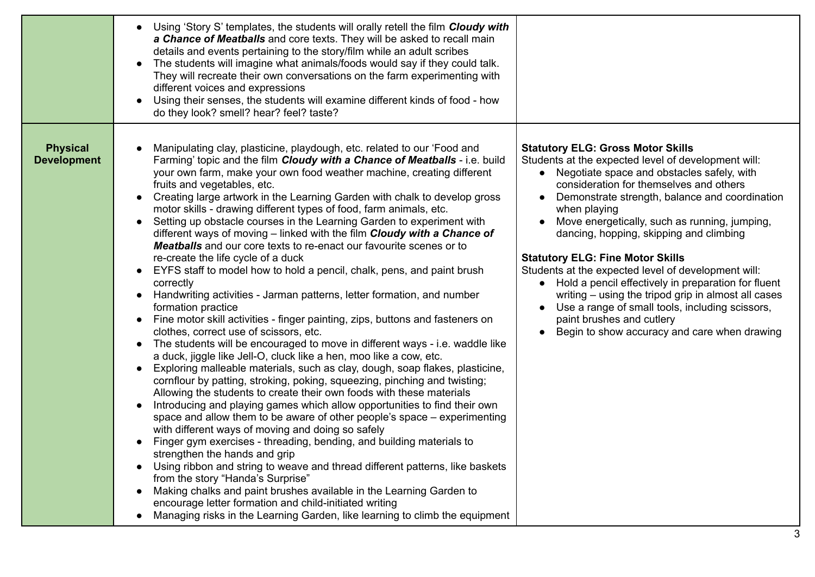|                                       | Using 'Story S' templates, the students will orally retell the film Cloudy with<br>a Chance of Meatballs and core texts. They will be asked to recall main<br>details and events pertaining to the story/film while an adult scribes<br>The students will imagine what animals/foods would say if they could talk.<br>$\bullet$<br>They will recreate their own conversations on the farm experimenting with<br>different voices and expressions<br>Using their senses, the students will examine different kinds of food - how<br>do they look? smell? hear? feel? taste?                                                                                                                                                                                                                                                                                                                                                                                                                                                                                                                                                                                                                                                                                                                                                                                                                                                                                                                                                                                                                                                                                                                                                                                                                                                                                                                                                                                                                                                                                                                                            |                                                                                                                                                                                                                                                                                                                                                                                                                                                                                                                                                                                                                                                                                                            |
|---------------------------------------|-----------------------------------------------------------------------------------------------------------------------------------------------------------------------------------------------------------------------------------------------------------------------------------------------------------------------------------------------------------------------------------------------------------------------------------------------------------------------------------------------------------------------------------------------------------------------------------------------------------------------------------------------------------------------------------------------------------------------------------------------------------------------------------------------------------------------------------------------------------------------------------------------------------------------------------------------------------------------------------------------------------------------------------------------------------------------------------------------------------------------------------------------------------------------------------------------------------------------------------------------------------------------------------------------------------------------------------------------------------------------------------------------------------------------------------------------------------------------------------------------------------------------------------------------------------------------------------------------------------------------------------------------------------------------------------------------------------------------------------------------------------------------------------------------------------------------------------------------------------------------------------------------------------------------------------------------------------------------------------------------------------------------------------------------------------------------------------------------------------------------|------------------------------------------------------------------------------------------------------------------------------------------------------------------------------------------------------------------------------------------------------------------------------------------------------------------------------------------------------------------------------------------------------------------------------------------------------------------------------------------------------------------------------------------------------------------------------------------------------------------------------------------------------------------------------------------------------------|
| <b>Physical</b><br><b>Development</b> | Manipulating clay, plasticine, playdough, etc. related to our 'Food and<br>Farming' topic and the film Cloudy with a Chance of Meatballs - i.e. build<br>your own farm, make your own food weather machine, creating different<br>fruits and vegetables, etc.<br>Creating large artwork in the Learning Garden with chalk to develop gross<br>$\bullet$<br>motor skills - drawing different types of food, farm animals, etc.<br>Setting up obstacle courses in the Learning Garden to experiment with<br>$\bullet$<br>different ways of moving - linked with the film Cloudy with a Chance of<br><b>Meatballs</b> and our core texts to re-enact our favourite scenes or to<br>re-create the life cycle of a duck<br>EYFS staff to model how to hold a pencil, chalk, pens, and paint brush<br>correctly<br>Handwriting activities - Jarman patterns, letter formation, and number<br>formation practice<br>Fine motor skill activities - finger painting, zips, buttons and fasteners on<br>$\bullet$<br>clothes, correct use of scissors, etc.<br>The students will be encouraged to move in different ways - i.e. waddle like<br>$\bullet$<br>a duck, jiggle like Jell-O, cluck like a hen, moo like a cow, etc.<br>Exploring malleable materials, such as clay, dough, soap flakes, plasticine,<br>cornflour by patting, stroking, poking, squeezing, pinching and twisting;<br>Allowing the students to create their own foods with these materials<br>Introducing and playing games which allow opportunities to find their own<br>space and allow them to be aware of other people's space - experimenting<br>with different ways of moving and doing so safely<br>Finger gym exercises - threading, bending, and building materials to<br>strengthen the hands and grip<br>Using ribbon and string to weave and thread different patterns, like baskets<br>from the story "Handa's Surprise"<br>Making chalks and paint brushes available in the Learning Garden to<br>encourage letter formation and child-initiated writing<br>Managing risks in the Learning Garden, like learning to climb the equipment | <b>Statutory ELG: Gross Motor Skills</b><br>Students at the expected level of development will:<br>• Negotiate space and obstacles safely, with<br>consideration for themselves and others<br>Demonstrate strength, balance and coordination<br>when playing<br>Move energetically, such as running, jumping,<br>dancing, hopping, skipping and climbing<br><b>Statutory ELG: Fine Motor Skills</b><br>Students at the expected level of development will:<br>• Hold a pencil effectively in preparation for fluent<br>writing – using the tripod grip in almost all cases<br>Use a range of small tools, including scissors,<br>paint brushes and cutlery<br>Begin to show accuracy and care when drawing |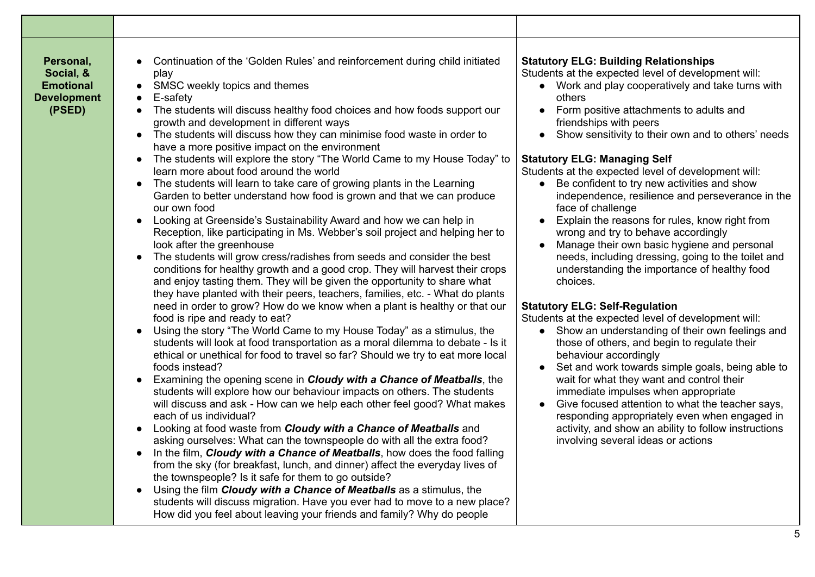| Personal,<br>Social, &<br><b>Emotional</b><br><b>Development</b><br>(PSED) | Continuation of the 'Golden Rules' and reinforcement during child initiated<br>play<br>SMSC weekly topics and themes<br>E-safety<br>The students will discuss healthy food choices and how foods support our<br>growth and development in different ways<br>The students will discuss how they can minimise food waste in order to<br>have a more positive impact on the environment<br>The students will explore the story "The World Came to my House Today" to<br>learn more about food around the world<br>The students will learn to take care of growing plants in the Learning<br>$\bullet$<br>Garden to better understand how food is grown and that we can produce<br>our own food<br>Looking at Greenside's Sustainability Award and how we can help in<br>Reception, like participating in Ms. Webber's soil project and helping her to<br>look after the greenhouse<br>The students will grow cress/radishes from seeds and consider the best<br>conditions for healthy growth and a good crop. They will harvest their crops<br>and enjoy tasting them. They will be given the opportunity to share what<br>they have planted with their peers, teachers, families, etc. - What do plants<br>need in order to grow? How do we know when a plant is healthy or that our<br>food is ripe and ready to eat?<br>Using the story "The World Came to my House Today" as a stimulus, the<br>students will look at food transportation as a moral dilemma to debate - Is it<br>ethical or unethical for food to travel so far? Should we try to eat more local<br>foods instead?<br>Examining the opening scene in Cloudy with a Chance of Meatballs, the<br>students will explore how our behaviour impacts on others. The students<br>will discuss and ask - How can we help each other feel good? What makes<br>each of us individual?<br>Looking at food waste from Cloudy with a Chance of Meatballs and<br>asking ourselves: What can the townspeople do with all the extra food?<br>In the film, Cloudy with a Chance of Meatballs, how does the food falling<br>from the sky (for breakfast, lunch, and dinner) affect the everyday lives of<br>the townspeople? Is it safe for them to go outside?<br>Using the film Cloudy with a Chance of Meatballs as a stimulus, the<br>students will discuss migration. Have you ever had to move to a new place?<br>How did you feel about leaving your friends and family? Why do people | <b>Statutory ELG: Building Relationships</b><br>Students at the expected level of development will:<br>Work and play cooperatively and take turns with<br>others<br>Form positive attachments to adults and<br>friendships with peers<br>Show sensitivity to their own and to others' needs<br><b>Statutory ELG: Managing Self</b><br>Students at the expected level of development will:<br>Be confident to try new activities and show<br>independence, resilience and perseverance in the<br>face of challenge<br>Explain the reasons for rules, know right from<br>wrong and try to behave accordingly<br>Manage their own basic hygiene and personal<br>needs, including dressing, going to the toilet and<br>understanding the importance of healthy food<br>choices.<br><b>Statutory ELG: Self-Regulation</b><br>Students at the expected level of development will:<br>Show an understanding of their own feelings and<br>$\bullet$<br>those of others, and begin to regulate their<br>behaviour accordingly<br>Set and work towards simple goals, being able to<br>wait for what they want and control their<br>immediate impulses when appropriate<br>Give focused attention to what the teacher says,<br>responding appropriately even when engaged in<br>activity, and show an ability to follow instructions<br>involving several ideas or actions |
|----------------------------------------------------------------------------|------------------------------------------------------------------------------------------------------------------------------------------------------------------------------------------------------------------------------------------------------------------------------------------------------------------------------------------------------------------------------------------------------------------------------------------------------------------------------------------------------------------------------------------------------------------------------------------------------------------------------------------------------------------------------------------------------------------------------------------------------------------------------------------------------------------------------------------------------------------------------------------------------------------------------------------------------------------------------------------------------------------------------------------------------------------------------------------------------------------------------------------------------------------------------------------------------------------------------------------------------------------------------------------------------------------------------------------------------------------------------------------------------------------------------------------------------------------------------------------------------------------------------------------------------------------------------------------------------------------------------------------------------------------------------------------------------------------------------------------------------------------------------------------------------------------------------------------------------------------------------------------------------------------------------------------------------------------------------------------------------------------------------------------------------------------------------------------------------------------------------------------------------------------------------------------------------------------------------------------------------------------------------------------------------------------------------------------------------------------------------------------------------------------------------------------------|-----------------------------------------------------------------------------------------------------------------------------------------------------------------------------------------------------------------------------------------------------------------------------------------------------------------------------------------------------------------------------------------------------------------------------------------------------------------------------------------------------------------------------------------------------------------------------------------------------------------------------------------------------------------------------------------------------------------------------------------------------------------------------------------------------------------------------------------------------------------------------------------------------------------------------------------------------------------------------------------------------------------------------------------------------------------------------------------------------------------------------------------------------------------------------------------------------------------------------------------------------------------------------------------------------------------------------------------------------------------|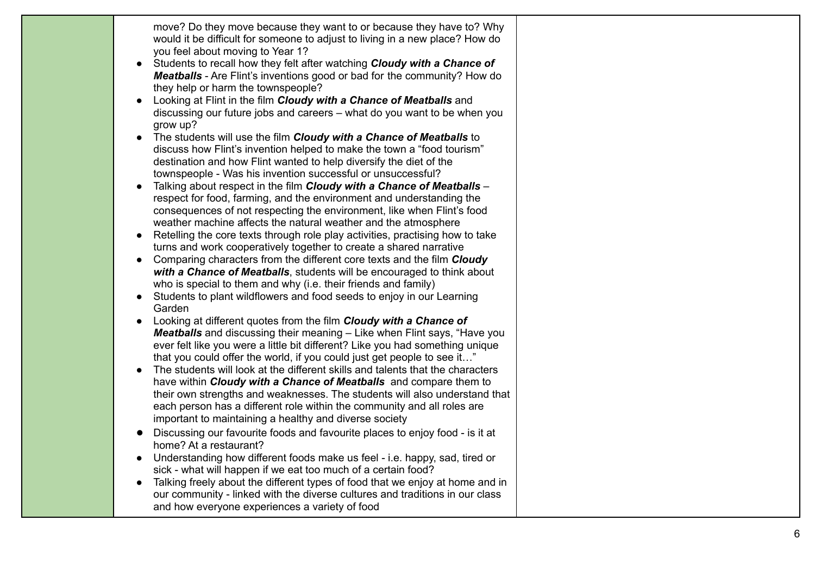| move? Do they move because they want to or because they have to? Why<br>would it be difficult for someone to adjust to living in a new place? How do<br>you feel about moving to Year 1?<br>Students to recall how they felt after watching Cloudy with a Chance of<br><b>Meatballs</b> - Are Flint's inventions good or bad for the community? How do<br>they help or harm the townspeople?<br>Looking at Flint in the film Cloudy with a Chance of Meatballs and<br>discussing our future jobs and careers – what do you want to be when you<br>grow up?<br>The students will use the film Cloudy with a Chance of Meatballs to<br>$\bullet$<br>discuss how Flint's invention helped to make the town a "food tourism"<br>destination and how Flint wanted to help diversify the diet of the<br>townspeople - Was his invention successful or unsuccessful?<br>Talking about respect in the film Cloudy with a Chance of Meatballs -<br>respect for food, farming, and the environment and understanding the<br>consequences of not respecting the environment, like when Flint's food<br>weather machine affects the natural weather and the atmosphere<br>Retelling the core texts through role play activities, practising how to take<br>turns and work cooperatively together to create a shared narrative<br>Comparing characters from the different core texts and the film Cloudy<br>with a Chance of Meatballs, students will be encouraged to think about<br>who is special to them and why (i.e. their friends and family)<br>Students to plant wildflowers and food seeds to enjoy in our Learning<br>Garden<br>Looking at different quotes from the film Cloudy with a Chance of<br><b>Meatballs</b> and discussing their meaning – Like when Flint says, "Have you<br>ever felt like you were a little bit different? Like you had something unique<br>that you could offer the world, if you could just get people to see it"<br>The students will look at the different skills and talents that the characters<br>have within Cloudy with a Chance of Meatballs and compare them to<br>their own strengths and weaknesses. The students will also understand that<br>each person has a different role within the community and all roles are<br>important to maintaining a healthy and diverse society<br>Discussing our favourite foods and favourite places to enjoy food - is it at<br>home? At a restaurant?<br>Understanding how different foods make us feel - i.e. happy, sad, tired or<br>sick - what will happen if we eat too much of a certain food? |  |
|-----------------------------------------------------------------------------------------------------------------------------------------------------------------------------------------------------------------------------------------------------------------------------------------------------------------------------------------------------------------------------------------------------------------------------------------------------------------------------------------------------------------------------------------------------------------------------------------------------------------------------------------------------------------------------------------------------------------------------------------------------------------------------------------------------------------------------------------------------------------------------------------------------------------------------------------------------------------------------------------------------------------------------------------------------------------------------------------------------------------------------------------------------------------------------------------------------------------------------------------------------------------------------------------------------------------------------------------------------------------------------------------------------------------------------------------------------------------------------------------------------------------------------------------------------------------------------------------------------------------------------------------------------------------------------------------------------------------------------------------------------------------------------------------------------------------------------------------------------------------------------------------------------------------------------------------------------------------------------------------------------------------------------------------------------------------------------------------------------------------------------------------------------------------------------------------------------------------------------------------------------------------------------------------------------------------------------------------------------------------------------------------------------------------------------------------------------------------------------------------------------------------------------------------------------------------------------------|--|
| Talking freely about the different types of food that we enjoy at home and in<br>our community - linked with the diverse cultures and traditions in our class<br>and how everyone experiences a variety of food                                                                                                                                                                                                                                                                                                                                                                                                                                                                                                                                                                                                                                                                                                                                                                                                                                                                                                                                                                                                                                                                                                                                                                                                                                                                                                                                                                                                                                                                                                                                                                                                                                                                                                                                                                                                                                                                                                                                                                                                                                                                                                                                                                                                                                                                                                                                                                   |  |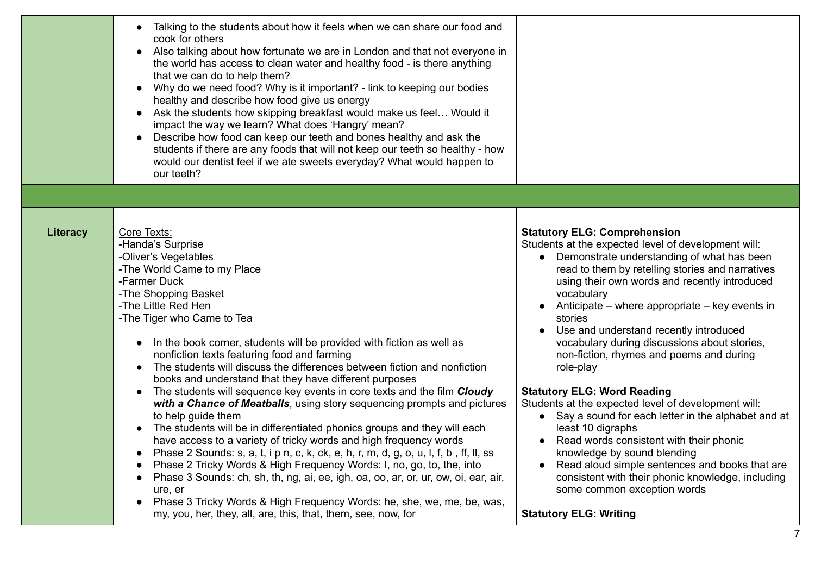|          | Talking to the students about how it feels when we can share our food and<br>cook for others<br>Also talking about how fortunate we are in London and that not everyone in<br>the world has access to clean water and healthy food - is there anything<br>that we can do to help them?<br>Why do we need food? Why is it important? - link to keeping our bodies<br>healthy and describe how food give us energy<br>Ask the students how skipping breakfast would make us feel Would it<br>impact the way we learn? What does 'Hangry' mean?<br>Describe how food can keep our teeth and bones healthy and ask the<br>students if there are any foods that will not keep our teeth so healthy - how<br>would our dentist feel if we ate sweets everyday? What would happen to<br>our teeth?                                                                                                                                                                                                                                             |                                                                                                                                                                                                                                                                                                                                                                                                                                                                                                                                                                                                                                                                                                                                                                                                                                        |
|----------|-----------------------------------------------------------------------------------------------------------------------------------------------------------------------------------------------------------------------------------------------------------------------------------------------------------------------------------------------------------------------------------------------------------------------------------------------------------------------------------------------------------------------------------------------------------------------------------------------------------------------------------------------------------------------------------------------------------------------------------------------------------------------------------------------------------------------------------------------------------------------------------------------------------------------------------------------------------------------------------------------------------------------------------------|----------------------------------------------------------------------------------------------------------------------------------------------------------------------------------------------------------------------------------------------------------------------------------------------------------------------------------------------------------------------------------------------------------------------------------------------------------------------------------------------------------------------------------------------------------------------------------------------------------------------------------------------------------------------------------------------------------------------------------------------------------------------------------------------------------------------------------------|
| Literacy | Core Texts:<br>-Handa's Surprise<br>-Oliver's Vegetables<br>-The World Came to my Place<br>-Farmer Duck<br>-The Shopping Basket<br>-The Little Red Hen<br>-The Tiger who Came to Tea<br>In the book corner, students will be provided with fiction as well as<br>nonfiction texts featuring food and farming<br>The students will discuss the differences between fiction and nonfiction<br>books and understand that they have different purposes<br>The students will sequence key events in core texts and the film Cloudy<br>with a Chance of Meatballs, using story sequencing prompts and pictures<br>to help guide them<br>The students will be in differentiated phonics groups and they will each<br>have access to a variety of tricky words and high frequency words<br>Phase 2 Sounds: s, a, t, i p n, c, k, ck, e, h, r, m, d, g, o, u, l, f, b, ff, ll, ss<br>Phase 2 Tricky Words & High Frequency Words: I, no, go, to, the, into<br>Phase 3 Sounds: ch, sh, th, ng, ai, ee, igh, oa, oo, ar, or, ur, ow, oi, ear, air, | <b>Statutory ELG: Comprehension</b><br>Students at the expected level of development will:<br>Demonstrate understanding of what has been<br>read to them by retelling stories and narratives<br>using their own words and recently introduced<br>vocabulary<br>Anticipate – where appropriate – key events in<br>stories<br>Use and understand recently introduced<br>vocabulary during discussions about stories,<br>non-fiction, rhymes and poems and during<br>role-play<br><b>Statutory ELG: Word Reading</b><br>Students at the expected level of development will:<br>• Say a sound for each letter in the alphabet and at<br>least 10 digraphs<br>Read words consistent with their phonic<br>knowledge by sound blending<br>Read aloud simple sentences and books that are<br>consistent with their phonic knowledge, including |
|          | ure, er<br>Phase 3 Tricky Words & High Frequency Words: he, she, we, me, be, was,<br>$\bullet$<br>my, you, her, they, all, are, this, that, them, see, now, for                                                                                                                                                                                                                                                                                                                                                                                                                                                                                                                                                                                                                                                                                                                                                                                                                                                                         | some common exception words<br><b>Statutory ELG: Writing</b>                                                                                                                                                                                                                                                                                                                                                                                                                                                                                                                                                                                                                                                                                                                                                                           |

7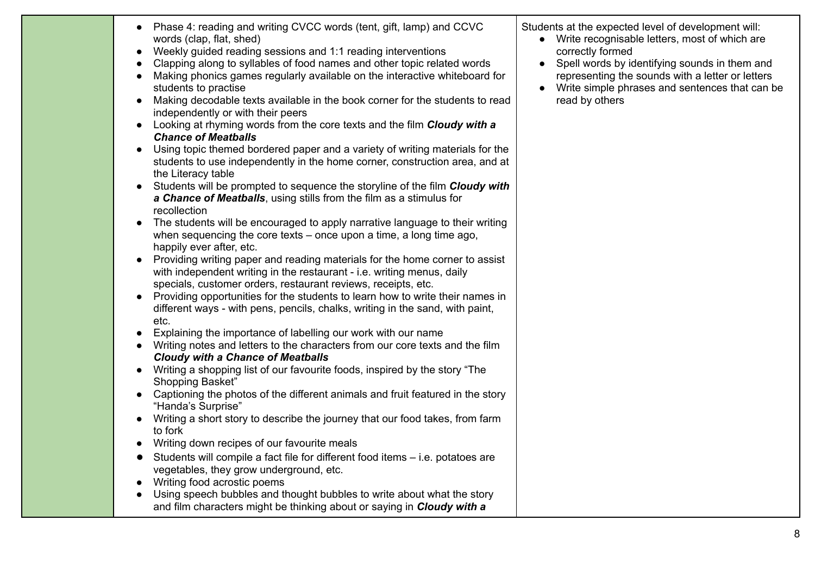| $\bullet$              | Phase 4: reading and writing CVCC words (tent, gift, lamp) and CCVC<br>words (clap, flat, shed)                                                                                                                        | Stude |
|------------------------|------------------------------------------------------------------------------------------------------------------------------------------------------------------------------------------------------------------------|-------|
| $\bullet$              | Weekly guided reading sessions and 1:1 reading interventions                                                                                                                                                           |       |
| $\bullet$<br>$\bullet$ | Clapping along to syllables of food names and other topic related words<br>Making phonics games regularly available on the interactive whiteboard for                                                                  |       |
|                        | students to practise                                                                                                                                                                                                   |       |
| $\bullet$              | Making decodable texts available in the book corner for the students to read<br>independently or with their peers                                                                                                      |       |
| $\bullet$              | Looking at rhyming words from the core texts and the film Cloudy with a<br><b>Chance of Meatballs</b>                                                                                                                  |       |
| $\bullet$              | Using topic themed bordered paper and a variety of writing materials for the<br>students to use independently in the home corner, construction area, and at<br>the Literacy table                                      |       |
| $\bullet$              | Students will be prompted to sequence the storyline of the film Cloudy with<br>a Chance of Meatballs, using stills from the film as a stimulus for<br>recollection                                                     |       |
| $\bullet$              | The students will be encouraged to apply narrative language to their writing<br>when sequencing the core texts $-$ once upon a time, a long time ago,<br>happily ever after, etc.                                      |       |
| $\bullet$              | Providing writing paper and reading materials for the home corner to assist<br>with independent writing in the restaurant - i.e. writing menus, daily<br>specials, customer orders, restaurant reviews, receipts, etc. |       |
| $\bullet$              | Providing opportunities for the students to learn how to write their names in<br>different ways - with pens, pencils, chalks, writing in the sand, with paint,<br>etc.                                                 |       |
| $\bullet$              | Explaining the importance of labelling our work with our name                                                                                                                                                          |       |

- Writing notes and letters to the characters from our core texts and the film *Cloudy with a Chance of Meatballs*
- Writing a shopping list of our favourite foods, inspired by the story "The Shopping Basket"
- Captioning the photos of the different animals and fruit featured in the story "Handa's Surprise"
- Writing a short story to describe the journey that our food takes, from farm to fork
- Writing down recipes of our favourite meals
- Students will compile a fact file for different food items i.e. potatoes are vegetables, they grow underground, etc.
- Writing food acrostic poems
- Using speech bubbles and thought bubbles to write about what the story and film characters might be thinking about or saying in *Cloudy with a*

nts at the expected level of development will:

- Write recognisable letters, most of which are correctly formed
- Spell words by identifying sounds in them and representing the sounds with a letter or letters
- Write simple phrases and sentences that can be read by others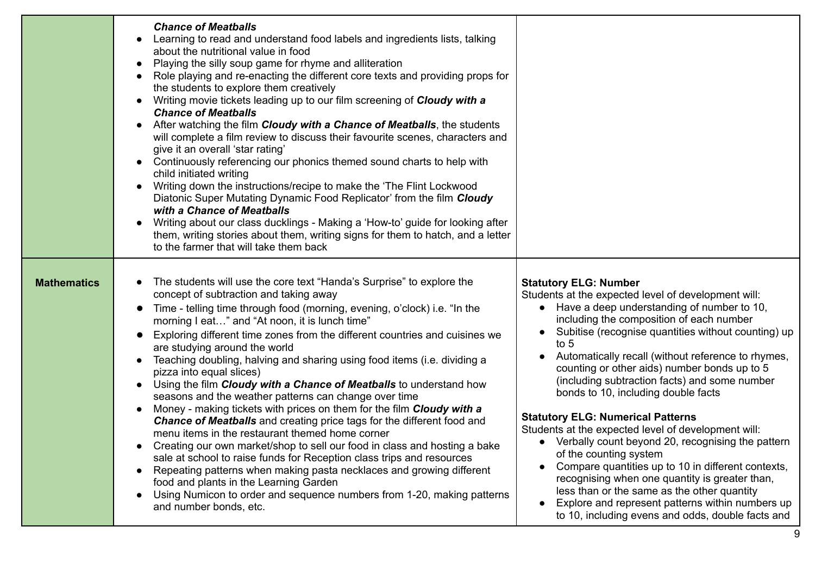|                    | <b>Chance of Meatballs</b><br>Learning to read and understand food labels and ingredients lists, talking<br>about the nutritional value in food<br>Playing the silly soup game for rhyme and alliteration<br>Role playing and re-enacting the different core texts and providing props for<br>the students to explore them creatively<br>Writing movie tickets leading up to our film screening of Cloudy with a<br><b>Chance of Meatballs</b><br>After watching the film Cloudy with a Chance of Meatballs, the students<br>will complete a film review to discuss their favourite scenes, characters and<br>give it an overall 'star rating'<br>Continuously referencing our phonics themed sound charts to help with<br>child initiated writing<br>Writing down the instructions/recipe to make the 'The Flint Lockwood<br>Diatonic Super Mutating Dynamic Food Replicator' from the film Cloudy<br>with a Chance of Meatballs<br>Writing about our class ducklings - Making a 'How-to' guide for looking after<br>them, writing stories about them, writing signs for them to hatch, and a letter<br>to the farmer that will take them back                                                |                                                                                                                                                                                                                                                                                                                                                                                                                                                                                                                                                                                                                                                                                                                                                                                                                                                                                                                 |
|--------------------|------------------------------------------------------------------------------------------------------------------------------------------------------------------------------------------------------------------------------------------------------------------------------------------------------------------------------------------------------------------------------------------------------------------------------------------------------------------------------------------------------------------------------------------------------------------------------------------------------------------------------------------------------------------------------------------------------------------------------------------------------------------------------------------------------------------------------------------------------------------------------------------------------------------------------------------------------------------------------------------------------------------------------------------------------------------------------------------------------------------------------------------------------------------------------------------------|-----------------------------------------------------------------------------------------------------------------------------------------------------------------------------------------------------------------------------------------------------------------------------------------------------------------------------------------------------------------------------------------------------------------------------------------------------------------------------------------------------------------------------------------------------------------------------------------------------------------------------------------------------------------------------------------------------------------------------------------------------------------------------------------------------------------------------------------------------------------------------------------------------------------|
| <b>Mathematics</b> | The students will use the core text "Handa's Surprise" to explore the<br>concept of subtraction and taking away<br>Time - telling time through food (morning, evening, o'clock) i.e. "In the<br>morning I eat" and "At noon, it is lunch time"<br>Exploring different time zones from the different countries and cuisines we<br>are studying around the world<br>Teaching doubling, halving and sharing using food items (i.e. dividing a<br>pizza into equal slices)<br>Using the film Cloudy with a Chance of Meatballs to understand how<br>seasons and the weather patterns can change over time<br>Money - making tickets with prices on them for the film Cloudy with a<br><b>Chance of Meatballs</b> and creating price tags for the different food and<br>menu items in the restaurant themed home corner<br>Creating our own market/shop to sell our food in class and hosting a bake<br>sale at school to raise funds for Reception class trips and resources<br>Repeating patterns when making pasta necklaces and growing different<br>food and plants in the Learning Garden<br>Using Numicon to order and sequence numbers from 1-20, making patterns<br>and number bonds, etc. | <b>Statutory ELG: Number</b><br>Students at the expected level of development will:<br>• Have a deep understanding of number to 10,<br>including the composition of each number<br>Subitise (recognise quantities without counting) up<br>to $5$<br>Automatically recall (without reference to rhymes,<br>counting or other aids) number bonds up to 5<br>(including subtraction facts) and some number<br>bonds to 10, including double facts<br><b>Statutory ELG: Numerical Patterns</b><br>Students at the expected level of development will:<br>• Verbally count beyond 20, recognising the pattern<br>of the counting system<br>Compare quantities up to 10 in different contexts,<br>recognising when one quantity is greater than,<br>less than or the same as the other quantity<br>Explore and represent patterns within numbers up<br>$\bullet$<br>to 10, including evens and odds, double facts and |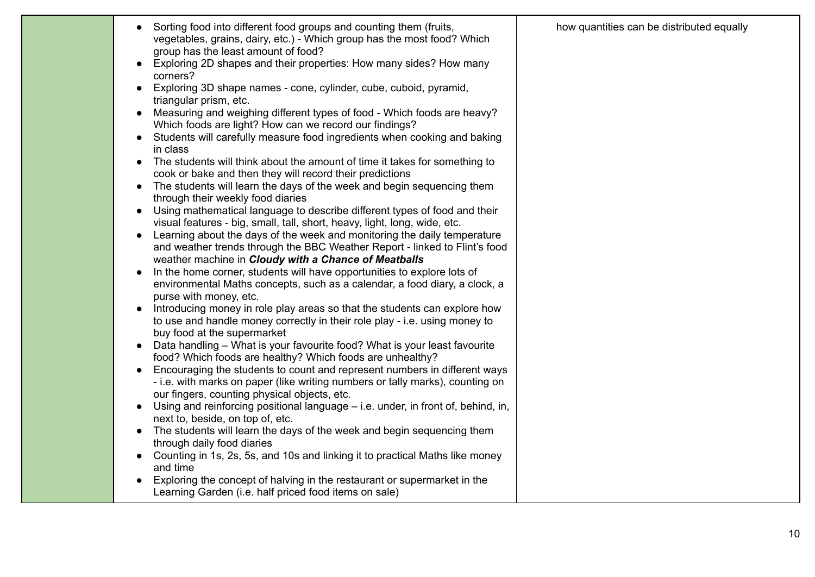|  | Sorting food into different food groups and counting them (fruits,<br>vegetables, grains, dairy, etc.) - Which group has the most food? Which<br>group has the least amount of food?<br>Exploring 2D shapes and their properties: How many sides? How many<br>corners?<br>Exploring 3D shape names - cone, cylinder, cube, cuboid, pyramid,<br>$\bullet$<br>triangular prism, etc.<br>Measuring and weighing different types of food - Which foods are heavy?<br>Which foods are light? How can we record our findings?<br>Students will carefully measure food ingredients when cooking and baking<br>in class<br>The students will think about the amount of time it takes for something to<br>cook or bake and then they will record their predictions<br>The students will learn the days of the week and begin sequencing them<br>$\bullet$<br>through their weekly food diaries<br>Using mathematical language to describe different types of food and their<br>visual features - big, small, tall, short, heavy, light, long, wide, etc.<br>Learning about the days of the week and monitoring the daily temperature<br>and weather trends through the BBC Weather Report - linked to Flint's food<br>weather machine in Cloudy with a Chance of Meatballs<br>In the home corner, students will have opportunities to explore lots of<br>environmental Maths concepts, such as a calendar, a food diary, a clock, a<br>purse with money, etc.<br>Introducing money in role play areas so that the students can explore how<br>to use and handle money correctly in their role play - i.e. using money to<br>buy food at the supermarket<br>Data handling - What is your favourite food? What is your least favourite<br>food? Which foods are healthy? Which foods are unhealthy?<br>Encouraging the students to count and represent numbers in different ways<br>- i.e. with marks on paper (like writing numbers or tally marks), counting on<br>our fingers, counting physical objects, etc.<br>Using and reinforcing positional language – i.e. under, in front of, behind, in,<br>next to, beside, on top of, etc.<br>The students will learn the days of the week and begin sequencing them<br>through daily food diaries<br>Counting in 1s, 2s, 5s, and 10s and linking it to practical Maths like money<br>and time<br>Exploring the concept of halving in the restaurant or supermarket in the<br>Learning Garden (i.e. half priced food items on sale) | how quantities can be distributed equally |
|--|-------------------------------------------------------------------------------------------------------------------------------------------------------------------------------------------------------------------------------------------------------------------------------------------------------------------------------------------------------------------------------------------------------------------------------------------------------------------------------------------------------------------------------------------------------------------------------------------------------------------------------------------------------------------------------------------------------------------------------------------------------------------------------------------------------------------------------------------------------------------------------------------------------------------------------------------------------------------------------------------------------------------------------------------------------------------------------------------------------------------------------------------------------------------------------------------------------------------------------------------------------------------------------------------------------------------------------------------------------------------------------------------------------------------------------------------------------------------------------------------------------------------------------------------------------------------------------------------------------------------------------------------------------------------------------------------------------------------------------------------------------------------------------------------------------------------------------------------------------------------------------------------------------------------------------------------------------------------------------------------------------------------------------------------------------------------------------------------------------------------------------------------------------------------------------------------------------------------------------------------------------------------------------------------------------------------------------------------------------------------------------------------------------------------------------------------------------------------------|-------------------------------------------|
|--|-------------------------------------------------------------------------------------------------------------------------------------------------------------------------------------------------------------------------------------------------------------------------------------------------------------------------------------------------------------------------------------------------------------------------------------------------------------------------------------------------------------------------------------------------------------------------------------------------------------------------------------------------------------------------------------------------------------------------------------------------------------------------------------------------------------------------------------------------------------------------------------------------------------------------------------------------------------------------------------------------------------------------------------------------------------------------------------------------------------------------------------------------------------------------------------------------------------------------------------------------------------------------------------------------------------------------------------------------------------------------------------------------------------------------------------------------------------------------------------------------------------------------------------------------------------------------------------------------------------------------------------------------------------------------------------------------------------------------------------------------------------------------------------------------------------------------------------------------------------------------------------------------------------------------------------------------------------------------------------------------------------------------------------------------------------------------------------------------------------------------------------------------------------------------------------------------------------------------------------------------------------------------------------------------------------------------------------------------------------------------------------------------------------------------------------------------------------------------|-------------------------------------------|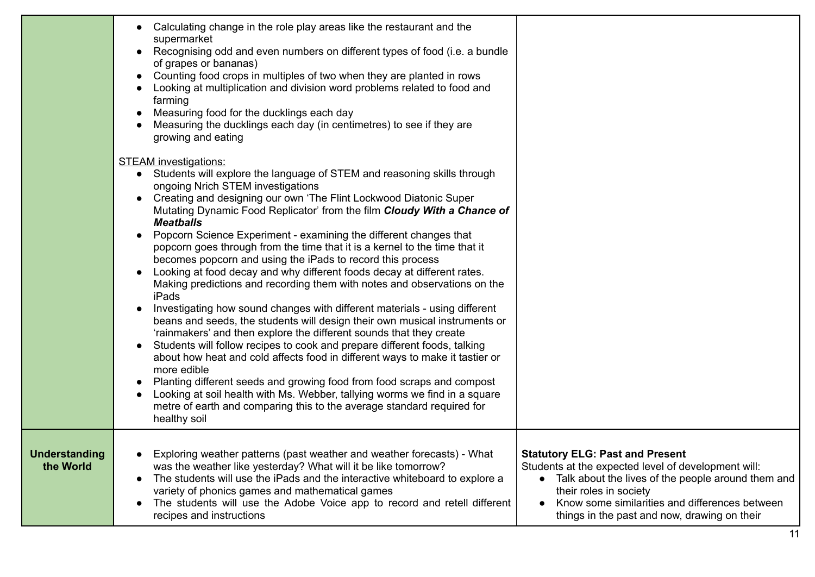|                            | Calculating change in the role play areas like the restaurant and the<br>supermarket<br>Recognising odd and even numbers on different types of food (i.e. a bundle<br>of grapes or bananas)<br>Counting food crops in multiples of two when they are planted in rows<br>Looking at multiplication and division word problems related to food and<br>farming<br>Measuring food for the ducklings each day<br>Measuring the ducklings each day (in centimetres) to see if they are<br>growing and eating                                                                                                                                                                                                                                                                                                                                                                                                                                                                                                                                                                                                                                                                                                                                                                                                                                                                            |                                                                                                                                                                                                                                                                                                |
|----------------------------|-----------------------------------------------------------------------------------------------------------------------------------------------------------------------------------------------------------------------------------------------------------------------------------------------------------------------------------------------------------------------------------------------------------------------------------------------------------------------------------------------------------------------------------------------------------------------------------------------------------------------------------------------------------------------------------------------------------------------------------------------------------------------------------------------------------------------------------------------------------------------------------------------------------------------------------------------------------------------------------------------------------------------------------------------------------------------------------------------------------------------------------------------------------------------------------------------------------------------------------------------------------------------------------------------------------------------------------------------------------------------------------|------------------------------------------------------------------------------------------------------------------------------------------------------------------------------------------------------------------------------------------------------------------------------------------------|
|                            | <b>STEAM</b> investigations:<br>• Students will explore the language of STEM and reasoning skills through<br>ongoing Nrich STEM investigations<br>Creating and designing our own 'The Flint Lockwood Diatonic Super<br>Mutating Dynamic Food Replicator' from the film Cloudy With a Chance of<br><b>Meatballs</b><br>Popcorn Science Experiment - examining the different changes that<br>popcorn goes through from the time that it is a kernel to the time that it<br>becomes popcorn and using the iPads to record this process<br>Looking at food decay and why different foods decay at different rates.<br>Making predictions and recording them with notes and observations on the<br>iPads<br>Investigating how sound changes with different materials - using different<br>beans and seeds, the students will design their own musical instruments or<br>'rainmakers' and then explore the different sounds that they create<br>Students will follow recipes to cook and prepare different foods, talking<br>$\bullet$<br>about how heat and cold affects food in different ways to make it tastier or<br>more edible<br>Planting different seeds and growing food from food scraps and compost<br>Looking at soil health with Ms. Webber, tallying worms we find in a square<br>metre of earth and comparing this to the average standard required for<br>healthy soil |                                                                                                                                                                                                                                                                                                |
| Understanding<br>the World | Exploring weather patterns (past weather and weather forecasts) - What<br>$\bullet$<br>was the weather like yesterday? What will it be like tomorrow?<br>The students will use the iPads and the interactive whiteboard to explore a<br>$\bullet$<br>variety of phonics games and mathematical games<br>The students will use the Adobe Voice app to record and retell different<br>$\bullet$<br>recipes and instructions                                                                                                                                                                                                                                                                                                                                                                                                                                                                                                                                                                                                                                                                                                                                                                                                                                                                                                                                                         | <b>Statutory ELG: Past and Present</b><br>Students at the expected level of development will:<br>• Talk about the lives of the people around them and<br>their roles in society<br>Know some similarities and differences between<br>$\bullet$<br>things in the past and now, drawing on their |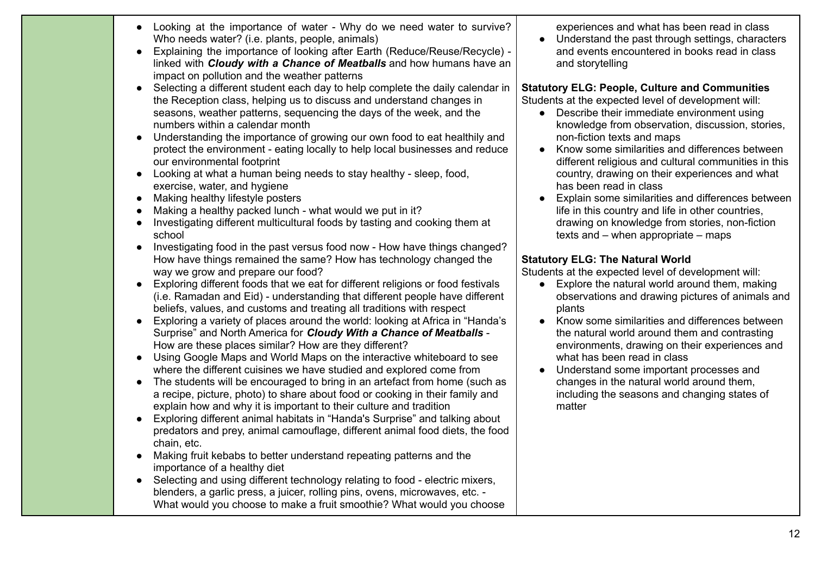|           | Looking at the importance of water - Why do we need water to survive?<br>Who needs water? (i.e. plants, people, animals)<br>Explaining the importance of looking after Earth (Reduce/Reuse/Recycle) -<br>linked with Cloudy with a Chance of Meatballs and how humans have an<br>impact on pollution and the weather patterns                                                                                                                                                                                                                                                                                                                                                                                                                                                                                                                                                                                                                                                                                                                                                                                                                                                                                                                                                                                                                                                                                                                                                                                                                                                                                                                                                                                                                                                                                                                                                                                                                                                                                                                                                                                                                                                                                                                                                                                                   | experiences and what has been read in class<br>Understand the past through settings, characters<br>and events encountered in books read in class<br>and storytelling                                                                                                                                                                                                                                                                                                                                                                                                                                                                                                                                                                                                                                                                                                                                                                                                                                                                                                                                                                                                                                          |
|-----------|---------------------------------------------------------------------------------------------------------------------------------------------------------------------------------------------------------------------------------------------------------------------------------------------------------------------------------------------------------------------------------------------------------------------------------------------------------------------------------------------------------------------------------------------------------------------------------------------------------------------------------------------------------------------------------------------------------------------------------------------------------------------------------------------------------------------------------------------------------------------------------------------------------------------------------------------------------------------------------------------------------------------------------------------------------------------------------------------------------------------------------------------------------------------------------------------------------------------------------------------------------------------------------------------------------------------------------------------------------------------------------------------------------------------------------------------------------------------------------------------------------------------------------------------------------------------------------------------------------------------------------------------------------------------------------------------------------------------------------------------------------------------------------------------------------------------------------------------------------------------------------------------------------------------------------------------------------------------------------------------------------------------------------------------------------------------------------------------------------------------------------------------------------------------------------------------------------------------------------------------------------------------------------------------------------------------------------|---------------------------------------------------------------------------------------------------------------------------------------------------------------------------------------------------------------------------------------------------------------------------------------------------------------------------------------------------------------------------------------------------------------------------------------------------------------------------------------------------------------------------------------------------------------------------------------------------------------------------------------------------------------------------------------------------------------------------------------------------------------------------------------------------------------------------------------------------------------------------------------------------------------------------------------------------------------------------------------------------------------------------------------------------------------------------------------------------------------------------------------------------------------------------------------------------------------|
| $\bullet$ | Selecting a different student each day to help complete the daily calendar in<br>the Reception class, helping us to discuss and understand changes in<br>seasons, weather patterns, sequencing the days of the week, and the<br>numbers within a calendar month<br>Understanding the importance of growing our own food to eat healthily and<br>protect the environment - eating locally to help local businesses and reduce<br>our environmental footprint<br>Looking at what a human being needs to stay healthy - sleep, food,<br>exercise, water, and hygiene<br>Making healthy lifestyle posters<br>Making a healthy packed lunch - what would we put in it?<br>Investigating different multicultural foods by tasting and cooking them at<br>school<br>Investigating food in the past versus food now - How have things changed?<br>How have things remained the same? How has technology changed the<br>way we grow and prepare our food?<br>Exploring different foods that we eat for different religions or food festivals<br>(i.e. Ramadan and Eid) - understanding that different people have different<br>beliefs, values, and customs and treating all traditions with respect<br>Exploring a variety of places around the world: looking at Africa in "Handa's<br>Surprise" and North America for Cloudy With a Chance of Meatballs -<br>How are these places similar? How are they different?<br>Using Google Maps and World Maps on the interactive whiteboard to see<br>where the different cuisines we have studied and explored come from<br>The students will be encouraged to bring in an artefact from home (such as<br>a recipe, picture, photo) to share about food or cooking in their family and<br>explain how and why it is important to their culture and tradition<br>Exploring different animal habitats in "Handa's Surprise" and talking about<br>predators and prey, animal camouflage, different animal food diets, the food<br>chain, etc.<br>Making fruit kebabs to better understand repeating patterns and the<br>importance of a healthy diet<br>• Selecting and using different technology relating to food - electric mixers,<br>blenders, a garlic press, a juicer, rolling pins, ovens, microwaves, etc. -<br>What would you choose to make a fruit smoothie? What would you choose | <b>Statutory ELG: People, Culture and Communities</b><br>Students at the expected level of development will:<br>Describe their immediate environment using<br>knowledge from observation, discussion, stories,<br>non-fiction texts and maps<br>Know some similarities and differences between<br>different religious and cultural communities in this<br>country, drawing on their experiences and what<br>has been read in class<br>Explain some similarities and differences between<br>life in this country and life in other countries,<br>drawing on knowledge from stories, non-fiction<br>texts and $-$ when appropriate $-$ maps<br><b>Statutory ELG: The Natural World</b><br>Students at the expected level of development will:<br>Explore the natural world around them, making<br>$\bullet$<br>observations and drawing pictures of animals and<br>plants<br>Know some similarities and differences between<br>the natural world around them and contrasting<br>environments, drawing on their experiences and<br>what has been read in class<br>Understand some important processes and<br>changes in the natural world around them,<br>including the seasons and changing states of<br>matter |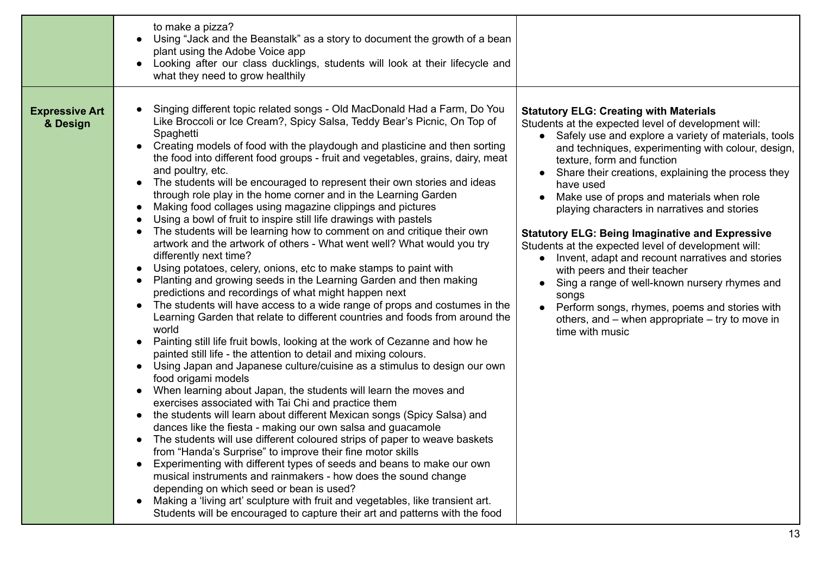|                                   | to make a pizza?<br>Using "Jack and the Beanstalk" as a story to document the growth of a bean<br>plant using the Adobe Voice app<br>Looking after our class ducklings, students will look at their lifecycle and<br>what they need to grow healthily                                                                                                                                                                                                                                                                                                                                                                                                                                                                                                                                                                                                                                                                                                                                                                                                                                                                                                                                                                                                                                                                                                                                                                                                                                                                                                                                                                                                                                                                                                                                                                                                                                                                                                                                                                                                                                                                                                                                                                                                                                                                   |                                                                                                                                                                                                                                                                                                                                                                                                                                                                                                                                                                                                                                                                                                                                                                                                            |
|-----------------------------------|-------------------------------------------------------------------------------------------------------------------------------------------------------------------------------------------------------------------------------------------------------------------------------------------------------------------------------------------------------------------------------------------------------------------------------------------------------------------------------------------------------------------------------------------------------------------------------------------------------------------------------------------------------------------------------------------------------------------------------------------------------------------------------------------------------------------------------------------------------------------------------------------------------------------------------------------------------------------------------------------------------------------------------------------------------------------------------------------------------------------------------------------------------------------------------------------------------------------------------------------------------------------------------------------------------------------------------------------------------------------------------------------------------------------------------------------------------------------------------------------------------------------------------------------------------------------------------------------------------------------------------------------------------------------------------------------------------------------------------------------------------------------------------------------------------------------------------------------------------------------------------------------------------------------------------------------------------------------------------------------------------------------------------------------------------------------------------------------------------------------------------------------------------------------------------------------------------------------------------------------------------------------------------------------------------------------------|------------------------------------------------------------------------------------------------------------------------------------------------------------------------------------------------------------------------------------------------------------------------------------------------------------------------------------------------------------------------------------------------------------------------------------------------------------------------------------------------------------------------------------------------------------------------------------------------------------------------------------------------------------------------------------------------------------------------------------------------------------------------------------------------------------|
| <b>Expressive Art</b><br>& Design | Singing different topic related songs - Old MacDonald Had a Farm, Do You<br>Like Broccoli or Ice Cream?, Spicy Salsa, Teddy Bear's Picnic, On Top of<br>Spaghetti<br>Creating models of food with the playdough and plasticine and then sorting<br>the food into different food groups - fruit and vegetables, grains, dairy, meat<br>and poultry, etc.<br>The students will be encouraged to represent their own stories and ideas<br>$\bullet$<br>through role play in the home corner and in the Learning Garden<br>Making food collages using magazine clippings and pictures<br>Using a bowl of fruit to inspire still life drawings with pastels<br>The students will be learning how to comment on and critique their own<br>artwork and the artwork of others - What went well? What would you try<br>differently next time?<br>Using potatoes, celery, onions, etc to make stamps to paint with<br>Planting and growing seeds in the Learning Garden and then making<br>predictions and recordings of what might happen next<br>The students will have access to a wide range of props and costumes in the<br>$\bullet$<br>Learning Garden that relate to different countries and foods from around the<br>world<br>Painting still life fruit bowls, looking at the work of Cezanne and how he<br>$\bullet$<br>painted still life - the attention to detail and mixing colours.<br>Using Japan and Japanese culture/cuisine as a stimulus to design our own<br>$\bullet$<br>food origami models<br>When learning about Japan, the students will learn the moves and<br>$\bullet$<br>exercises associated with Tai Chi and practice them<br>the students will learn about different Mexican songs (Spicy Salsa) and<br>$\bullet$<br>dances like the fiesta - making our own salsa and guacamole<br>The students will use different coloured strips of paper to weave baskets<br>$\bullet$<br>from "Handa's Surprise" to improve their fine motor skills<br>Experimenting with different types of seeds and beans to make our own<br>musical instruments and rainmakers - how does the sound change<br>depending on which seed or bean is used?<br>Making a 'living art' sculpture with fruit and vegetables, like transient art.<br>Students will be encouraged to capture their art and patterns with the food | <b>Statutory ELG: Creating with Materials</b><br>Students at the expected level of development will:<br>Safely use and explore a variety of materials, tools<br>and techniques, experimenting with colour, design,<br>texture, form and function<br>Share their creations, explaining the process they<br>have used<br>Make use of props and materials when role<br>playing characters in narratives and stories<br><b>Statutory ELG: Being Imaginative and Expressive</b><br>Students at the expected level of development will:<br>Invent, adapt and recount narratives and stories<br>with peers and their teacher<br>Sing a range of well-known nursery rhymes and<br>songs<br>Perform songs, rhymes, poems and stories with<br>others, and $-$ when appropriate $-$ try to move in<br>time with music |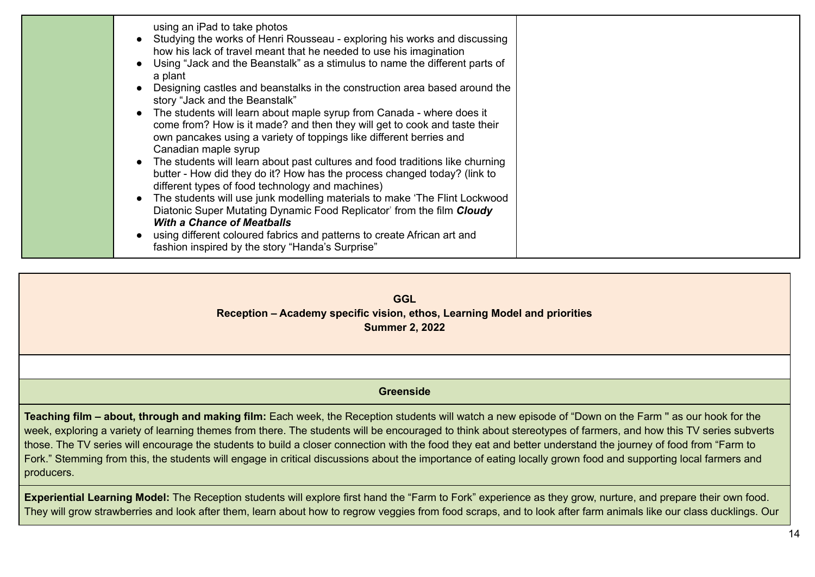**GGL Reception – Academy specific vision, ethos, Learning Model and priorities Summer 2, 2022**

## **Greenside**

**Teaching film – about, through and making film:** Each week, the Reception students will watch a new episode of "Down on the Farm '' as our hook for the week, exploring a variety of learning themes from there. The students will be encouraged to think about stereotypes of farmers, and how this TV series subverts those. The TV series will encourage the students to build a closer connection with the food they eat and better understand the journey of food from "Farm to Fork." Stemming from this, the students will engage in critical discussions about the importance of eating locally grown food and supporting local farmers and producers.

**Experiential Learning Model:** The Reception students will explore first hand the "Farm to Fork" experience as they grow, nurture, and prepare their own food. They will grow strawberries and look after them, learn about how to regrow veggies from food scraps, and to look after farm animals like our class ducklings. Our